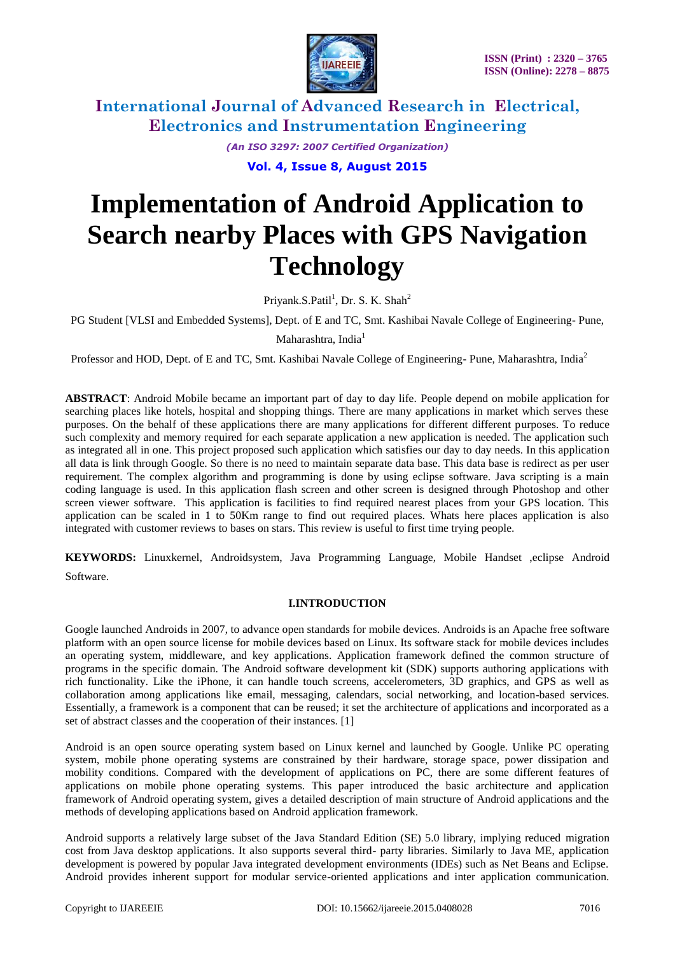

*(An ISO 3297: 2007 Certified Organization)*

**Vol. 4, Issue 8, August 2015**

# **Implementation of Android Application to Search nearby Places with GPS Navigation Technology**

Priyank.S.Patil<sup>1</sup>, Dr. S. K. Shah<sup>2</sup>

PG Student [VLSI and Embedded Systems], Dept. of E and TC, Smt. Kashibai Navale College of Engineering- Pune,

Maharashtra, India<sup>1</sup>

Professor and HOD, Dept. of E and TC, Smt. Kashibai Navale College of Engineering-Pune, Maharashtra, India<sup>2</sup>

**ABSTRACT**: Android Mobile became an important part of day to day life. People depend on mobile application for searching places like hotels, hospital and shopping things. There are many applications in market which serves these purposes. On the behalf of these applications there are many applications for different different purposes. To reduce such complexity and memory required for each separate application a new application is needed. The application such as integrated all in one. This project proposed such application which satisfies our day to day needs. In this application all data is link through Google. So there is no need to maintain separate data base. This data base is redirect as per user requirement. The complex algorithm and programming is done by using eclipse software. Java scripting is a main coding language is used. In this application flash screen and other screen is designed through Photoshop and other screen viewer software. This application is facilities to find required nearest places from your GPS location. This application can be scaled in 1 to 50Km range to find out required places. Whats here places application is also integrated with customer reviews to bases on stars. This review is useful to first time trying people.

**KEYWORDS:** Linuxkernel, Androidsystem, Java Programming Language, Mobile Handset ,eclipse Android Software.

#### **I.INTRODUCTION**

Google launched Androids in 2007, to advance open standards for mobile devices. Androids is an Apache free software platform with an open source license for mobile devices based on Linux. Its software stack for mobile devices includes an operating system, middleware, and key applications. Application framework defined the common structure of programs in the specific domain. The Android software development kit (SDK) supports authoring applications with rich functionality. Like the iPhone, it can handle touch screens, accelerometers, 3D graphics, and GPS as well as collaboration among applications like email, messaging, calendars, social networking, and location-based services. Essentially, a framework is a component that can be reused; it set the architecture of applications and incorporated as a set of abstract classes and the cooperation of their instances. [1]

Android is an open source operating system based on Linux kernel and launched by Google. Unlike PC operating system, mobile phone operating systems are constrained by their hardware, storage space, power dissipation and mobility conditions. Compared with the development of applications on PC, there are some different features of applications on mobile phone operating systems. This paper introduced the basic architecture and application framework of Android operating system, gives a detailed description of main structure of Android applications and the methods of developing applications based on Android application framework.

Android supports a relatively large subset of the Java Standard Edition (SE) 5.0 library, implying reduced migration cost from Java desktop applications. It also supports several third- party libraries. Similarly to Java ME, application development is powered by popular Java integrated development environments (IDEs) such as Net Beans and Eclipse. Android provides inherent support for modular service-oriented applications and inter application communication.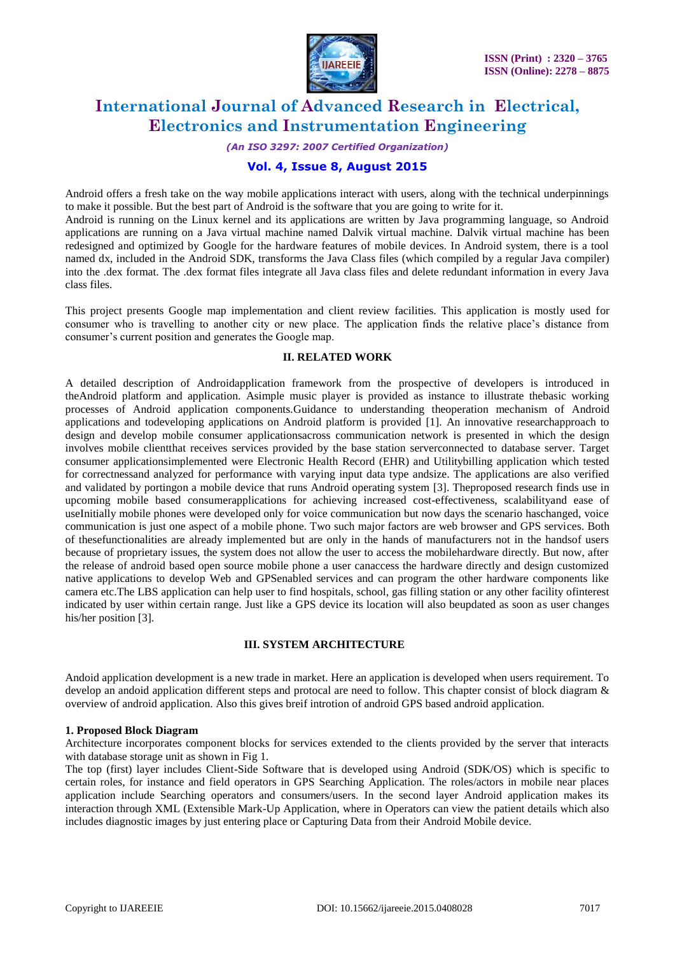

*(An ISO 3297: 2007 Certified Organization)*

### **Vol. 4, Issue 8, August 2015**

Android offers a fresh take on the way mobile applications interact with users, along with the technical underpinnings to make it possible. But the best part of Android is the software that you are going to write for it. Android is running on the Linux kernel and its applications are written by Java programming language, so Android applications are running on a Java virtual machine named Dalvik virtual machine. Dalvik virtual machine has been redesigned and optimized by Google for the hardware features of mobile devices. In Android system, there is a tool named dx, included in the Android SDK, transforms the Java Class files (which compiled by a regular Java compiler) into the .dex format. The .dex format files integrate all Java class files and delete redundant information in every Java class files.

This project presents Google map implementation and client review facilities. This application is mostly used for consumer who is travelling to another city or new place. The application finds the relative place's distance from consumer's current position and generates the Google map.

#### **II. RELATED WORK**

A detailed description of Androidapplication framework from the prospective of developers is introduced in theAndroid platform and application. Asimple music player is provided as instance to illustrate thebasic working processes of Android application components.Guidance to understanding theoperation mechanism of Android applications and todeveloping applications on Android platform is provided [1]. An innovative researchapproach to design and develop mobile consumer applicationsacross communication network is presented in which the design involves mobile clientthat receives services provided by the base station serverconnected to database server. Target consumer applicationsimplemented were Electronic Health Record (EHR) and Utilitybilling application which tested for correctnessand analyzed for performance with varying input data type andsize. The applications are also verified and validated by portingon a mobile device that runs Android operating system [3]. Theproposed research finds use in upcoming mobile based consumerapplications for achieving increased cost-effectiveness, scalabilityand ease of useInitially mobile phones were developed only for voice communication but now days the scenario haschanged, voice communication is just one aspect of a mobile phone. Two such major factors are web browser and GPS services. Both of thesefunctionalities are already implemented but are only in the hands of manufacturers not in the handsof users because of proprietary issues, the system does not allow the user to access the mobilehardware directly. But now, after the release of android based open source mobile phone a user canaccess the hardware directly and design customized native applications to develop Web and GPSenabled services and can program the other hardware components like camera etc.The LBS application can help user to find hospitals, school, gas filling station or any other facility ofinterest indicated by user within certain range. Just like a GPS device its location will also beupdated as soon as user changes his/her position [3].

### **III. SYSTEM ARCHITECTURE**

Andoid application development is a new trade in market. Here an application is developed when users requirement. To develop an andoid application different steps and protocal are need to follow. This chapter consist of block diagram  $\&$ overview of android application. Also this gives breif introtion of android GPS based android application.

#### **1. Proposed Block Diagram**

Architecture incorporates component blocks for services extended to the clients provided by the server that interacts with database storage unit as shown in Fig 1.

The top (first) layer includes Client-Side Software that is developed using Android (SDK/OS) which is specific to certain roles, for instance and field operators in GPS Searching Application. The roles/actors in mobile near places application include Searching operators and consumers/users. In the second layer Android application makes its interaction through XML (Extensible Mark-Up Application, where in Operators can view the patient details which also includes diagnostic images by just entering place or Capturing Data from their Android Mobile device.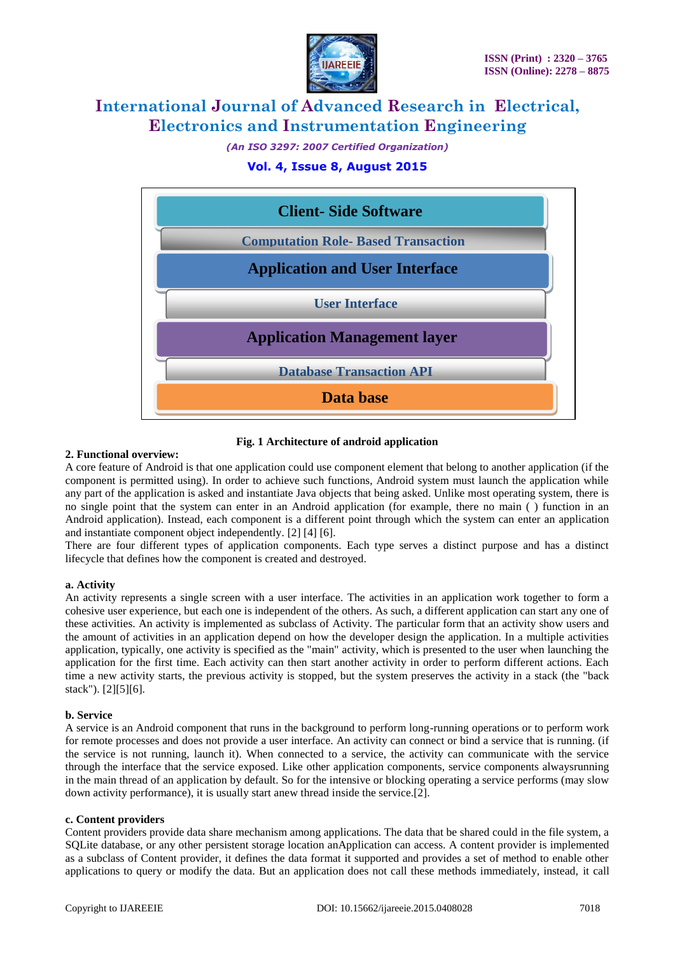

*(An ISO 3297: 2007 Certified Organization)*

### **Vol. 4, Issue 8, August 2015**



#### **Fig. 1 Architecture of android application**

#### **2. Functional overview:**

A core feature of Android is that one application could use component element that belong to another application (if the component is permitted using). In order to achieve such functions, Android system must launch the application while any part of the application is asked and instantiate Java objects that being asked. Unlike most operating system, there is no single point that the system can enter in an Android application (for example, there no main ( ) function in an Android application). Instead, each component is a different point through which the system can enter an application and instantiate component object independently. [2] [4] [6].

There are four different types of application components. Each type serves a distinct purpose and has a distinct lifecycle that defines how the component is created and destroyed.

#### **a. Activity**

An activity represents a single screen with a user interface. The activities in an application work together to form a cohesive user experience, but each one is independent of the others. As such, a different application can start any one of these activities. An activity is implemented as subclass of Activity. The particular form that an activity show users and the amount of activities in an application depend on how the developer design the application. In a multiple activities application, typically, one activity is specified as the "main" activity, which is presented to the user when launching the application for the first time. Each activity can then start another activity in order to perform different actions. Each time a new activity starts, the previous activity is stopped, but the system preserves the activity in a stack (the "back stack"). [2][5][6].

#### **b. Service**

A service is an Android component that runs in the background to perform long-running operations or to perform work for remote processes and does not provide a user interface. An activity can connect or bind a service that is running. (if the service is not running, launch it). When connected to a service, the activity can communicate with the service through the interface that the service exposed. Like other application components, service components alwaysrunning in the main thread of an application by default. So for the intensive or blocking operating a service performs (may slow down activity performance), it is usually start anew thread inside the service.[2].

#### **c. Content providers**

Content providers provide data share mechanism among applications. The data that be shared could in the file system, a SQLite database, or any other persistent storage location anApplication can access. A content provider is implemented as a subclass of Content provider, it defines the data format it supported and provides a set of method to enable other applications to query or modify the data. But an application does not call these methods immediately, instead, it call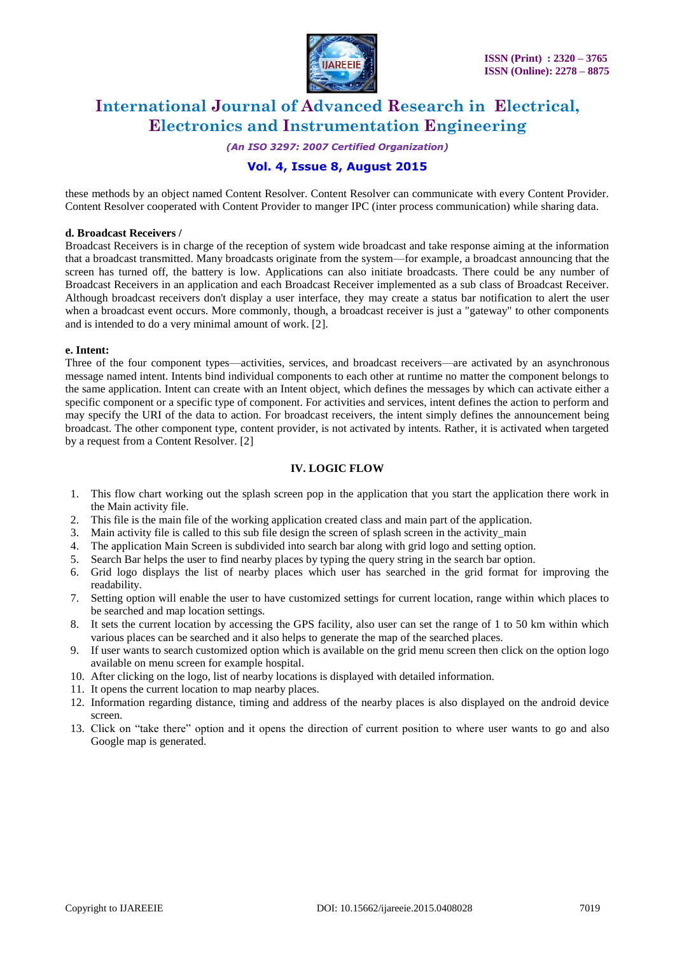

*(An ISO 3297: 2007 Certified Organization)*

## **Vol. 4, Issue 8, August 2015**

these methods by an object named Content Resolver. Content Resolver can communicate with every Content Provider. Content Resolver cooperated with Content Provider to manger IPC (inter process communication) while sharing data.

#### **d. Broadcast Receivers /**

Broadcast Receivers is in charge of the reception of system wide broadcast and take response aiming at the information that a broadcast transmitted. Many broadcasts originate from the system—for example, a broadcast announcing that the screen has turned off, the battery is low. Applications can also initiate broadcasts. There could be any number of Broadcast Receivers in an application and each Broadcast Receiver implemented as a sub class of Broadcast Receiver. Although broadcast receivers don't display a user interface, they may create a status bar notification to alert the user when a broadcast event occurs. More commonly, though, a broadcast receiver is just a "gateway" to other components and is intended to do a very minimal amount of work. [2].

#### **e. Intent:**

Three of the four component types—activities, services, and broadcast receivers—are activated by an asynchronous message named intent. Intents bind individual components to each other at runtime no matter the component belongs to the same application. Intent can create with an Intent object, which defines the messages by which can activate either a specific component or a specific type of component. For activities and services, intent defines the action to perform and may specify the URI of the data to action. For broadcast receivers, the intent simply defines the announcement being broadcast. The other component type, content provider, is not activated by intents. Rather, it is activated when targeted by a request from a Content Resolver. [2]

#### **IV. LOGIC FLOW**

- 1. This flow chart working out the splash screen pop in the application that you start the application there work in the Main activity file.
- 2. This file is the main file of the working application created class and main part of the application.
- 3. Main activity file is called to this sub file design the screen of splash screen in the activity\_main
- 4. The application Main Screen is subdivided into search bar along with grid logo and setting option.
- 5. Search Bar helps the user to find nearby places by typing the query string in the search bar option.
- 6. Grid logo displays the list of nearby places which user has searched in the grid format for improving the readability.
- 7. Setting option will enable the user to have customized settings for current location, range within which places to be searched and map location settings.
- 8. It sets the current location by accessing the GPS facility, also user can set the range of 1 to 50 km within which various places can be searched and it also helps to generate the map of the searched places.
- 9. If user wants to search customized option which is available on the grid menu screen then click on the option logo available on menu screen for example hospital.
- 10. After clicking on the logo, list of nearby locations is displayed with detailed information.
- 11. It opens the current location to map nearby places.
- 12. Information regarding distance, timing and address of the nearby places is also displayed on the android device screen.
- 13. Click on "take there" option and it opens the direction of current position to where user wants to go and also Google map is generated.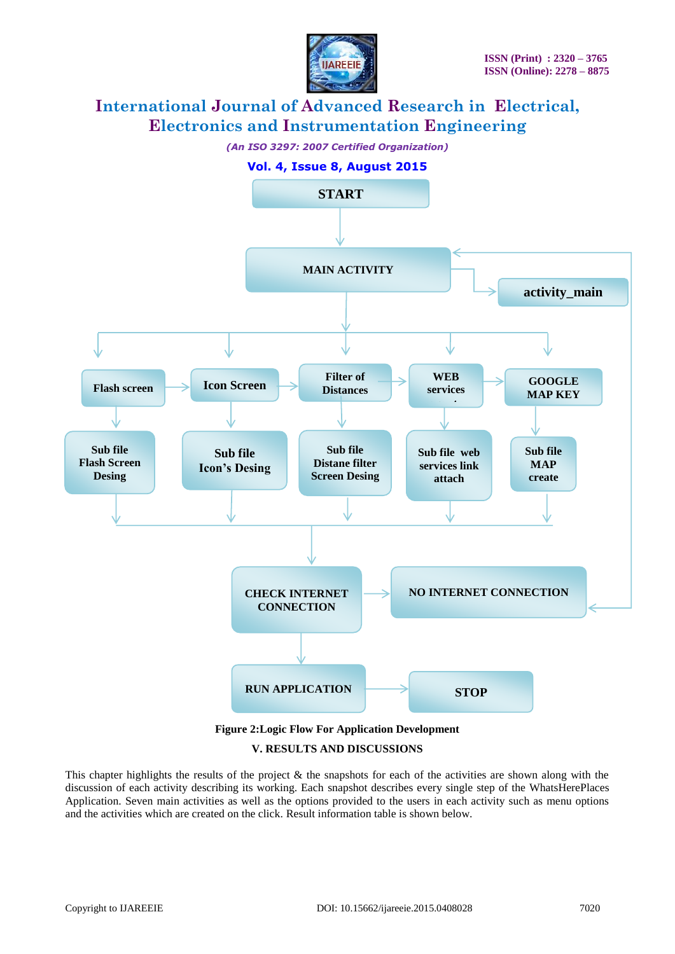



### **V. RESULTS AND DISCUSSIONS**

This chapter highlights the results of the project  $\&$  the snapshots for each of the activities are shown along with the discussion of each activity describing its working. Each snapshot describes every single step of the WhatsHerePlaces Application. Seven main activities as well as the options provided to the users in each activity such as menu options and the activities which are created on the click. Result information table is shown below.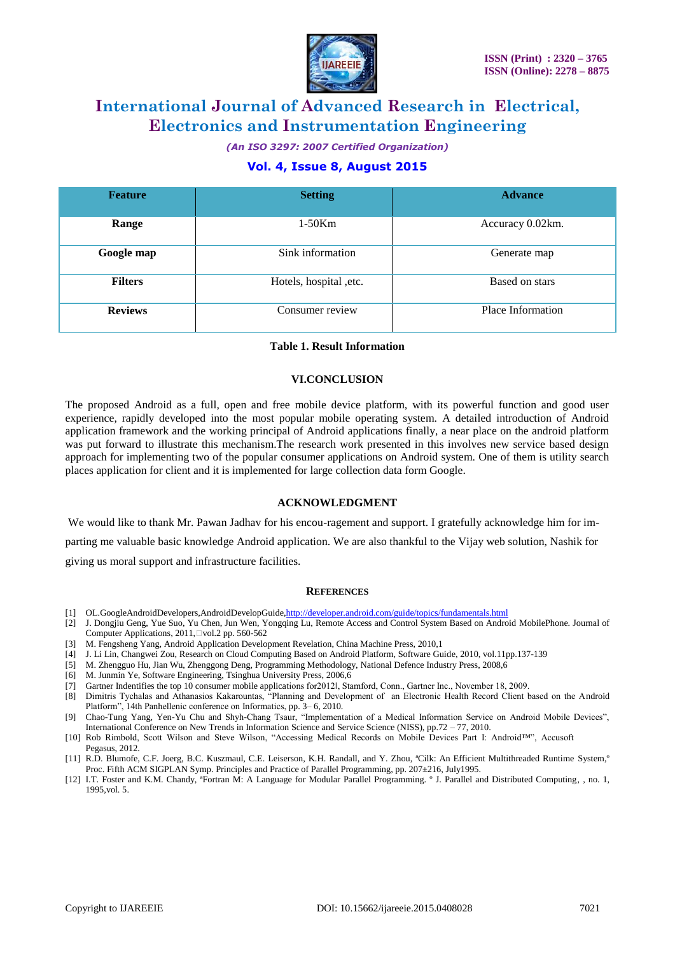

*(An ISO 3297: 2007 Certified Organization)*

## **Vol. 4, Issue 8, August 2015**

| <b>Feature</b> | <b>Setting</b>          | <b>Advance</b>    |
|----------------|-------------------------|-------------------|
| Range          | $1-50Km$                | Accuracy 0.02km.  |
| Google map     | Sink information        | Generate map      |
| <b>Filters</b> | Hotels, hospital , etc. | Based on stars    |
| <b>Reviews</b> | Consumer review         | Place Information |

#### **Table 1. Result Information**

#### **VI.CONCLUSION**

The proposed Android as a full, open and free mobile device platform, with its powerful function and good user experience, rapidly developed into the most popular mobile operating system. A detailed introduction of Android application framework and the working principal of Android applications finally, a near place on the android platform was put forward to illustrate this mechanism.The research work presented in this involves new service based design approach for implementing two of the popular consumer applications on Android system. One of them is utility search places application for client and it is implemented for large collection data form Google.

#### **ACKNOWLEDGMENT**

We would like to thank Mr. Pawan Jadhav for his encou-ragement and support. I gratefully acknowledge him for imparting me valuable basic knowledge Android application. We are also thankful to the Vijay web solution, Nashik for giving us moral support and infrastructure facilities.

#### **REFERENCES**

- [1] OL.GoogleAndroidDevelopers,AndroidDevelopGuid[e,http://developer.android.com/guide/topics/fundamentals.html](http://developer.android.com/guide/topics/fundamentals.html)
- [2] J. Dongjiu Geng, Yue Suo, Yu Chen, Jun Wen, Yongqing Lu, Remote Access and Control System Based on Android MobilePhone. Journal of Computer Applications, 2011, $\Box$ vol.2 pp. 560-562
- [3] M. Fengsheng Yang, Android Application Development Revelation, China Machine Press, 2010,1
- [4] J. Li Lin, Changwei Zou, Research on Cloud Computing Based on Android Platform, Software Guide, 2010, vol.11pp.137-139
- [5] M. Zhengguo Hu, Jian Wu, Zhenggong Deng, Programming Methodology, National Defence Industry Press, 2008,6
- [6] M. Junmin Ye, Software Engineering, Tsinghua University Press, 2006,6
- [7] Gartner Indentifies the top 10 consumer mobile applications for2012‖, Stamford, Conn., Gartner Inc., November 18, 2009.
- [8] Dimitris Tychalas and Athanasios Kakarountas, "Planning and Development of an Electronic Health Record Client based on the Android Platform", 14th Panhellenic conference on Informatics, pp. 3–6, 2010.
- [9] Chao-Tung Yang, Yen-Yu Chu and Shyh-Chang Tsaur, "Implementation of a Medical Information Service on Android Mobile Devices", International Conference on New Trends in Information Science and Service Science (NISS), pp.72 – 77, 2010.
- [10] Rob Rimbold, Scott Wilson and Steve Wilson, "Accessing Medical Records on Mobile Devices Part I: Android™, Accusoft Pegasus, 2012.
- [11] R.D. Blumofe, C.F. Joerg, B.C. Kuszmaul, C.E. Leiserson, K.H. Randall, and Y. Zhou, ªCilk: An Efficient Multithreaded Runtime System,º Proc. Fifth ACM SIGPLAN Symp. Principles and Practice of Parallel Programming, pp. 207±216, July1995.
- [12] I.T. Foster and K.M. Chandy, ªFortran M: A Language for Modular Parallel Programming. º J. Parallel and Distributed Computing, , no. 1, 1995,vol. 5.